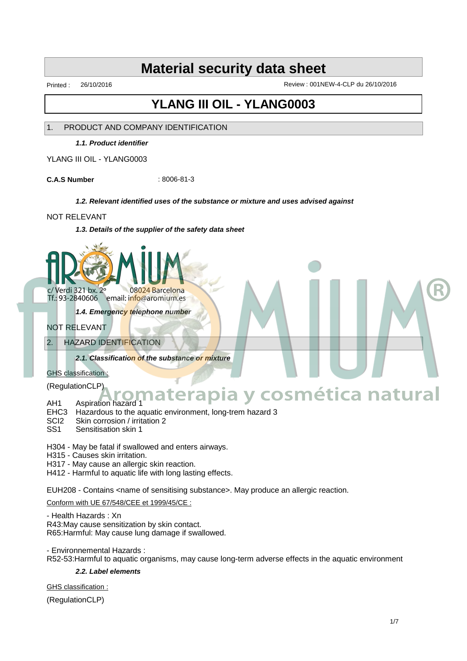Printed : 26/10/2016 Review : 001NEW-4-CLP du 26/10/2016

## **YLANG III OIL - YLANG0003**

### 1. PRODUCT AND COMPANY IDENTIFICATION

**1.1. Product identifier**

YLANG III OIL - YLANG0003

**C.A.S Number** : 8006-81-3

### **1.2. Relevant identified uses of the substance or mixture and uses advised against**

### NOT RELEVANT

**1.3. Details of the supplier of the safety data sheet**



Tf.: 93-2840606 email: info@aromium.es

**1.4. Emergency telephone number**

### NOT RELEVANT

### 2. HAZARD IDENTIFICATION

**2.1. Classification of the substance or mixture**

### GHS classification :

(RegulationCLP)

# **Aromaterapia y cosmética natural**

- AH1 Aspiration hazard 1 EHC3 Hazardous to the aquatic environment, long-trem hazard 3
- 
- SCI2 Skin corrosion / irritation 2<br>SS1 Sensitisation skin 1 Sensitisation skin 1

H304 - May be fatal if swallowed and enters airways.

H315 - Causes skin irritation.

H317 - May cause an allergic skin reaction.

H412 - Harmful to aquatic life with long lasting effects.

EUH208 - Contains <name of sensitising substance>. May produce an allergic reaction.

### Conform with UE 67/548/CEE et 1999/45/CE :

- Health Hazards : Xn

R43:May cause sensitization by skin contact. R65:Harmful: May cause lung damage if swallowed.

- Environnemental Hazards : R52-53:Harmful to aquatic organisms, may cause long-term adverse effects in the aquatic environment

### **2.2. Label elements**

GHS classification :

(RegulationCLP)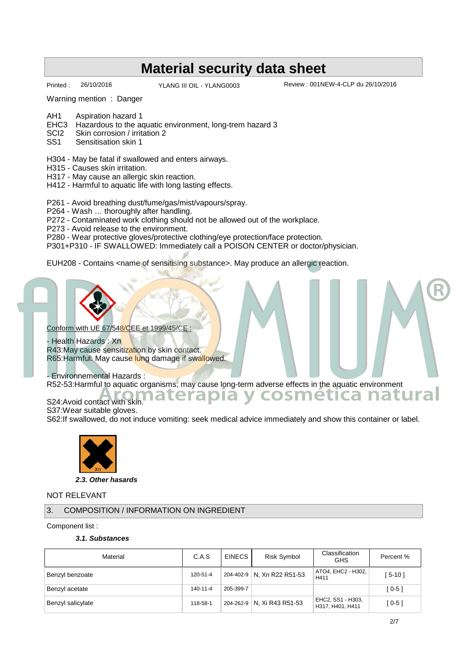YLANG III OIL - YLANG0003

Printed : 26/10/2016 <br>
YLANG III OIL - YLANG0003 Review : 001NEW-4-CLP du 26/10/2016

Warning mention : Danger

- AH1 Aspiration hazard 1
- EHC3 Hazardous to the aquatic environment, long-trem hazard 3<br>SCl2 Skin corrosion / irritation 2
- SCI2 Skin corrosion / irritation 2<br>SS1 Sensitisation skin 1
- Sensitisation skin 1
- H304 May be fatal if swallowed and enters airways.
- H315 Causes skin irritation.
- H317 May cause an allergic skin reaction.
- H412 Harmful to aquatic life with long lasting effects.

P261 - Avoid breathing dust/fume/gas/mist/vapours/spray.

P264 - Wash … thoroughly after handling.

P272 - Contaminated work clothing should not be allowed out of the workplace.

P273 - Avoid release to the environment.

- P280 Wear protective gloves/protective clothing/eye protection/face protection.
- P301+P310 IF SWALLOWED: Immediately call a POISON CENTER or doctor/physician.

EUH208 - Contains <name of sensitising substance>. May produce an allergic reaction.



S37:Wear suitable gloves.

S62:If swallowed, do not induce vomiting: seek medical advice immediately and show this container or label.



**2.3. Other hasards**

NOT RELEVANT

3. COMPOSITION / INFORMATION ON INGREDIENT

Component list :

### **3.1. Substances**

| Material          | C.A.S          | EINECS    | Risk Symbol                | Classification<br><b>GHS</b>          | Percent % |
|-------------------|----------------|-----------|----------------------------|---------------------------------------|-----------|
| Benzyl benzoate   | 120-51-4       |           | 204-402-9 N, Xn R22 R51-53 | ATO4, EHC2 - H302,<br>H411            | $5-10$ ]  |
| Benzyl acetate    | $140 - 11 - 4$ | 205-399-7 |                            |                                       | $[0-5]$   |
| Benzyl salicylate | 118-58-1       |           | 204-262-9 N, Xi R43 R51-53 | EHC2, SS1 - H303,<br>H317, H401, H411 | [ 0-5 ]   |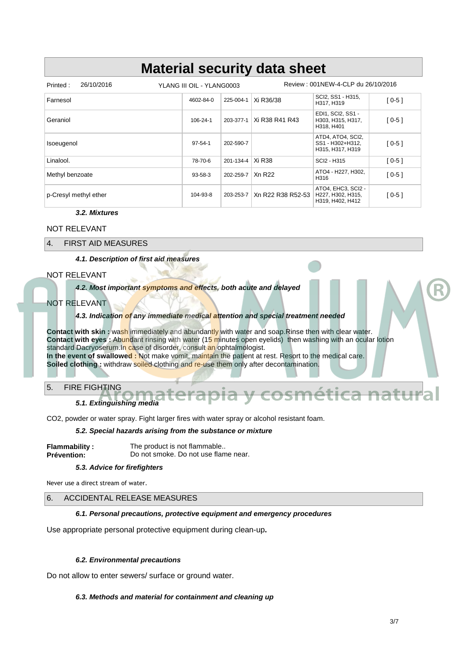| 26/10/2016<br>Printed: | YLANG III OIL - YLANG0003 |                    | Review: 001NEW-4-CLP du 26/10/2016 |                                                             |         |
|------------------------|---------------------------|--------------------|------------------------------------|-------------------------------------------------------------|---------|
| Farnesol               | 4602-84-0                 | 225-004-1          | Xi R36/38                          | SCI2, SS1 - H315,<br>H317, H319                             | $[0-5]$ |
| Geraniol               | 106-24-1                  | 203-377-1          | Xi R38 R41 R43                     | EDI1, SCI2, SS1 -<br>H303, H315, H317,<br>H318, H401        | $[0-5]$ |
| Isoeugenol             | $97 - 54 - 1$             | 202-590-7          |                                    | ATD4, ATO4, SCI2,<br>SS1 - H302+H312,<br>H315, H317, H319   | $[0-5]$ |
| Linalool.              | 78-70-6                   | 201-134-4   Xi R38 |                                    | SCI2 - H315                                                 | $[0-5]$ |
| Methyl benzoate        | $93 - 58 - 3$             | 202-259-7          | Xn R22                             | ATO4 - H227, H302,<br>H316                                  | $[0-5]$ |
| p-Cresyl methyl ether  | 104-93-8                  | 203-253-7          | Xn R22 R38 R52-53                  | ATO4, EHC3, SCI2 -<br>H227, H302, H315,<br>H319, H402, H412 | $[0-5]$ |

### **3.2. Mixtures**

### NOT RELEVANT

4. FIRST AID MEASURES

**4.1. Description of first aid measures**

### NOT RELEVANT

**4.2. Most important symptoms and effects, both acute and delayed**

### NOT RELEVANT

### **4.3. Indication of any immediate medical attention and special treatment needed**

**Contact with skin :** wash immediately and abundantly with water and soap.Rinse then with clear water. **Contact with eyes :** Abundant rinsing with water (15 minutes open eyelids) then washing with an ocular lotion standard Dacryoserum.In case of disorder, consult an ophtalmologist. **In the event of swallowed :** Not make vomit, maintain the patient at rest. Resort to the medical care. **Soiled clothing :** withdraw soiled clothing and re-use them only after decontamination.

### 5. FIRE FIGHTING

**5.1. Extinguishing media**

CO2, powder or water spray. Fight larger fires with water spray or alcohol resistant foam.

### **5.2. Special hazards arising from the substance or mixture**

| <b>Flammability:</b> | The product is not flammable         |
|----------------------|--------------------------------------|
| <b>Prévention:</b>   | Do not smoke. Do not use flame near. |

### **5.3. Advice for firefighters**

Never use a direct stream of water.

### 6. ACCIDENTAL RELEASE MEASURES

### **6.1. Personal precautions, protective equipment and emergency procedures**

Use appropriate personal protective equipment during clean-up**.**

### **6.2. Environmental precautions**

Do not allow to enter sewers/ surface or ground water.

### **6.3. Methods and material for containment and cleaning up**

**Hrca natural**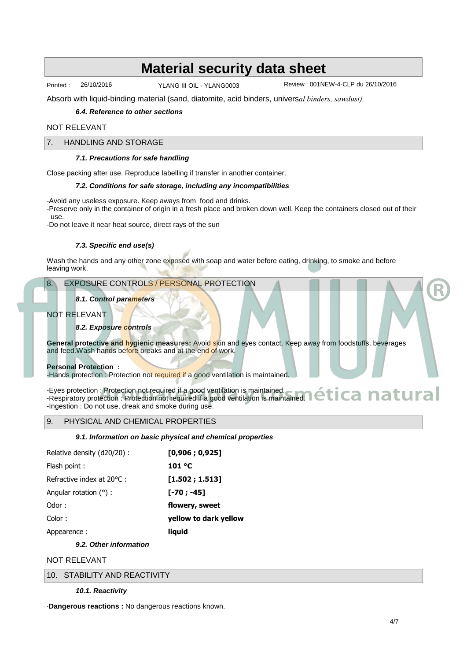Printed : 26/10/2016 YLANG III OIL - YLANG0003

Review : 001NEW-4-CLP du 26/10/2016

Absorb with liquid-binding material (sand, diatomite, acid binders, univers*al binders, sawdust).*

### **6.4. Reference to other sections**

### NOT RELEVANT

### 7. HANDLING AND STORAGE

### **7.1. Precautions for safe handling**

Close packing after use. Reproduce labelling if transfer in another container.

### **7.2. Conditions for safe storage, including any incompatibilities**

-Avoid any useless exposure. Keep aways from food and drinks.

-Preserve only in the container of origin in a fresh place and broken down well. Keep the containers closed out of their use.

-Do not leave it near heat source, direct rays of the sun

### **7.3. Specific end use(s)**

Wash the hands and any other zone exposed with soap and water before eating, drinking, to smoke and before leaving work.

### 8. EXPOSURE CONTROLS / PERSONAL PROTECTION

### **8.1. Control parameters**

### NOT RELEVANT

### **8.2. Exposure controls**

**General protective and hygienic measures:** Avoid skin and eyes contact. Keep away from foodstuffs, beverages and feed. Wash hands before breaks and at the end of work.

### **Personal Protection :**

-Hands protection : Protection not required if a good ventilation is maintained.

-Eyes protection : Protection not required if a good ventilation is maintained. -Eyes protection : Protection not required if a good ventilation is maintained.<br>-Respiratory protection : Protection not required if a good ventilation is maintained. **A ARTUITEE** -Ingestion : Do not use, dreak and smoke during use.

### 9. PHYSICAL AND CHEMICAL PROPERTIES

### **9.1. Information on basic physical and chemical properties**

| Relative density (d20/20): | [0,906; 0,925]        |
|----------------------------|-----------------------|
| Flash point:               | 101 C                 |
| Refractive index at 20 C : | [1.502; 1.513]        |
| Angular rotation $( )$ :   | [-70 ; -45]           |
| Odor:                      | flowery, sweet        |
| Color:                     | yellow to dark yellow |
| Appearence:                | liguid                |
|                            |                       |

**9.2. Other information**

### NOT RELEVANT

10. STABILITY AND REACTIVITY

### **10.1. Reactivity**

·**Dangerous reactions :** No dangerous reactions known.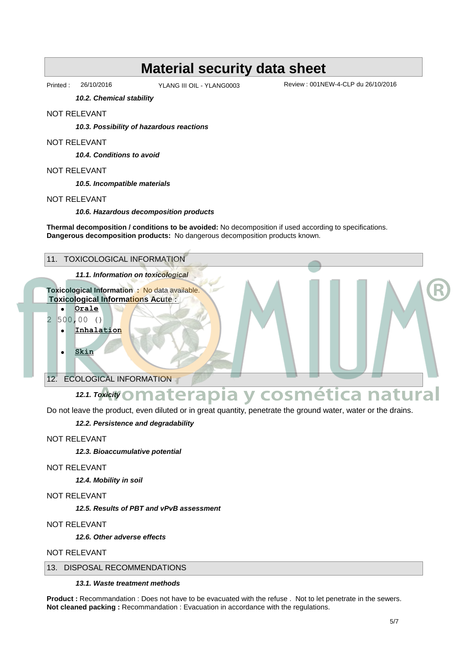YLANG III OIL - YLANG0003

Printed : 26/10/2016 Review : 001NEW-4-CLP du 26/10/2016

**10.2. Chemical stability**

### NOT RELEVANT

**10.3. Possibility of hazardous reactions**

### NOT RELEVANT

**10.4. Conditions to avoid**

### NOT RELEVANT

**10.5. Incompatible materials**

### NOT RELEVANT

**10.6. Hazardous decomposition products**

**Thermal decomposition / conditions to be avoided:** No decomposition if used according to specifications. **Dangerous decomposition products:** No dangerous decomposition products known.



Do not leave the product, even diluted or in great quantity, penetrate the ground water, water or the drains.

### **12.2. Persistence and degradability**

NOT RELEVANT

**12.3. Bioaccumulative potential**

### NOT RELEVANT

**12.4. Mobility in soil**

NOT RELEVANT

**12.5. Results of PBT and vPvB assessment**

### NOT RELEVANT

**12.6. Other adverse effects**

NOT RELEVANT

### 13. DISPOSAL RECOMMENDATIONS

### **13.1. Waste treatment methods**

**Product :** Recommandation : Does not have to be evacuated with the refuse . Not to let penetrate in the sewers. **Not cleaned packing :** Recommandation : Evacuation in accordance with the regulations.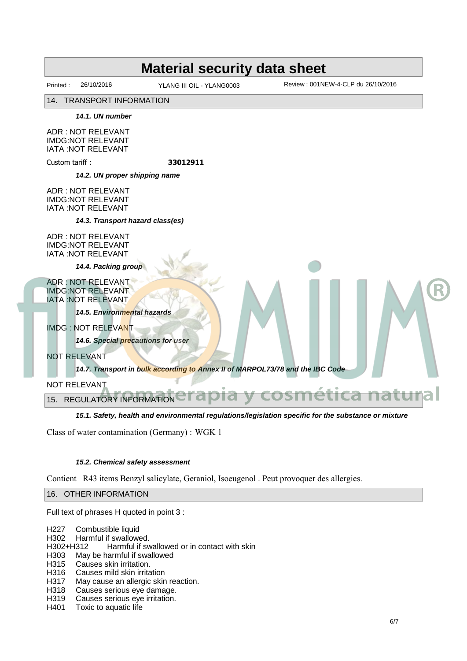YLANG III OIL - YLANG0003

Printed : 26/10/2016 YLANG III OIL - YLANG0003 Review : 001NEW-4-CLP du 26/10/2016

14. TRANSPORT INFORMATION

**14.1. UN number**

ADR : NOT RELEVANT IMDG:NOT RELEVANT IATA :NOT RELEVANT

Custom tariff : **33012911**

**14.2. UN proper shipping name**

ADR : NOT RELEVANT IMDG:NOT RELEVANT IATA :NOT RELEVANT

**14.3. Transport hazard class(es)**

ADR : NOT RELEVANT IMDG:NOT RELEVANT IATA :NOT RELEVANT

**14.4. Packing group**

ADR : NOT RELEVANT IMDG:NOT RELEVANT IATA :NOT RELEVANT

**14.5. Environmental hazards**

IMDG : NOT RELEVANT

**14.6. Special precautions for user**

NOT RELEVANT

**14.7. Transport in bulk according to Annex II of MARPOL73/78 and the IBC Code**

NOT RELEVANT

15. REGULATORY INFORMATION **Aromaterapia y cosmética natural**

### **15.1. Safety, health and environmental regulations/legislation specific for the substance or mixture**

Class of water contamination (Germany) : WGK 1

### **15.2. Chemical safety assessment**

Contient R43 items Benzyl salicylate, Geraniol, Isoeugenol . Peut provoquer des allergies.

16. OTHER INFORMATION

Full text of phrases H quoted in point 3 :

| H227 | Combustible liquid |  |
|------|--------------------|--|
|------|--------------------|--|

H302 Harmful if swallowed.<br>H302+H312 Harmful if sw

Harmful if swallowed or in contact with skin

H303 May be harmful if swallowed

H315 Causes skin irritation.

H316 Causes mild skin irritation

H317 May cause an allergic skin reaction.

H318 Causes serious eye damage.

H319 Causes serious eye irritation.<br>H401 Toxic to aquatic life

Toxic to aquatic life